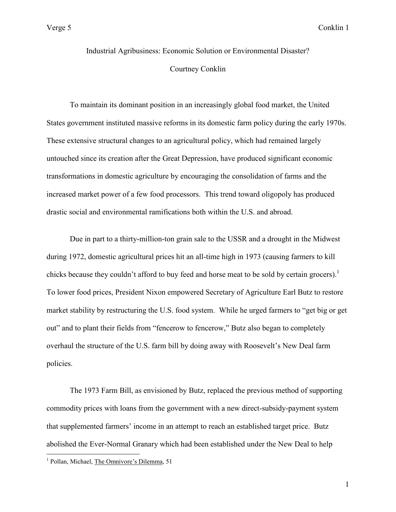Industrial Agribusiness: Economic Solution or Environmental Disaster? Courtney Conklin

 To maintain its dominant position in an increasingly global food market, the United States government instituted massive reforms in its domestic farm policy during the early 1970s. These extensive structural changes to an agricultural policy, which had remained largely untouched since its creation after the Great Depression, have produced significant economic transformations in domestic agriculture by encouraging the consolidation of farms and the increased market power of a few food processors. This trend toward oligopoly has produced drastic social and environmental ramifications both within the U.S. and abroad.

 Due in part to a thirty-million-ton grain sale to the USSR and a drought in the Midwest during 1972, domestic agricultural prices hit an all-time high in 1973 (causing farmers to kill chicks because they couldn't afford to buy feed and horse meat to be sold by certain grocers).<sup>1</sup> To lower food prices, President Nixon empowered Secretary of Agriculture Earl Butz to restore market stability by restructuring the U.S. food system. While he urged farmers to "get big or get out" and to plant their fields from "fencerow to fencerow," Butz also began to completely overhaul the structure of the U.S. farm bill by doing away with Roosevelt's New Deal farm policies.

 The 1973 Farm Bill, as envisioned by Butz, replaced the previous method of supporting commodity prices with loans from the government with a new direct-subsidy-payment system that supplemented farmers' income in an attempt to reach an established target price. Butz abolished the Ever-Normal Granary which had been established under the New Deal to help

<sup>&</sup>lt;sup>1</sup> Pollan, Michael, The Omnivore's Dilemma, 51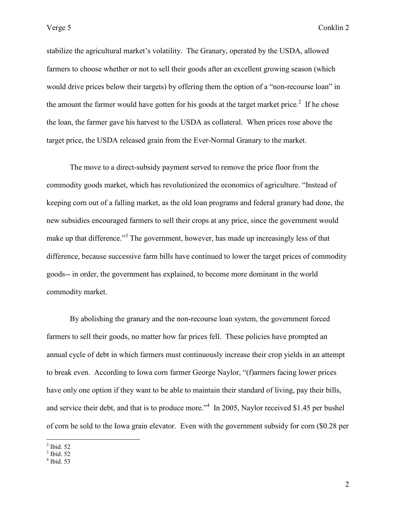stabilize the agricultural market's volatility. The Granary, operated by the USDA, allowed farmers to choose whether or not to sell their goods after an excellent growing season (which would drive prices below their targets) by offering them the option of a "non-recourse loan" in the amount the farmer would have gotten for his goods at the target market price. $2$  If he chose the loan, the farmer gave his harvest to the USDA as collateral. When prices rose above the target price, the USDA released grain from the Ever-Normal Granary to the market.

 The move to a direct-subsidy payment served to remove the price floor from the commodity goods market, which has revolutionized the economics of agriculture. "Instead of keeping corn out of a falling market, as the old loan programs and federal granary had done, the new subsidies encouraged farmers to sell their crops at any price, since the government would make up that difference."<sup>3</sup> The government, however, has made up increasingly less of that difference, because successive farm bills have continued to lower the target prices of commodity goods-- in order, the government has explained, to become more dominant in the world commodity market.

 By abolishing the granary and the non-recourse loan system, the government forced farmers to sell their goods, no matter how far prices fell. These policies have prompted an annual cycle of debt in which farmers must continuously increase their crop yields in an attempt to break even. According to Iowa corn farmer George Naylor, "(f)armers facing lower prices have only one option if they want to be able to maintain their standard of living, pay their bills, and service their debt, and that is to produce more."<sup>4</sup> In 2005, Naylor received \$1.45 per bushel of corn he sold to the Iowa grain elevator. Even with the government subsidy for corn (\$0.28 per

 $\frac{2}{3}$  Ibid. 52<br> $\frac{4}{3}$  Ibid. 53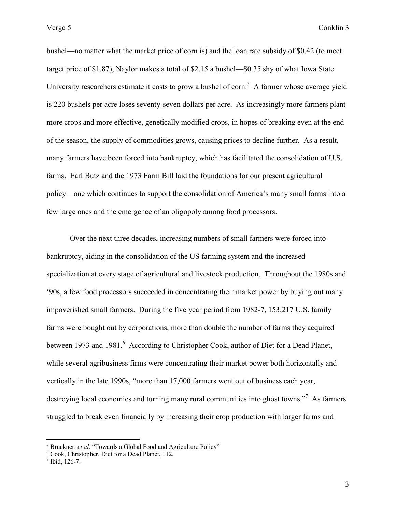bushel—no matter what the market price of corn is) and the loan rate subsidy of \$0.42 (to meet target price of \$1.87), Naylor makes a total of \$2.15 a bushel—\$0.35 shy of what Iowa State University researchers estimate it costs to grow a bushel of corn.<sup>5</sup> A farmer whose average yield is 220 bushels per acre loses seventy-seven dollars per acre. As increasingly more farmers plant more crops and more effective, genetically modified crops, in hopes of breaking even at the end of the season, the supply of commodities grows, causing prices to decline further. As a result, many farmers have been forced into bankruptcy, which has facilitated the consolidation of U.S. farms. Earl Butz and the 1973 Farm Bill laid the foundations for our present agricultural policy—one which continues to support the consolidation of America's many small farms into a few large ones and the emergence of an oligopoly among food processors.

 Over the next three decades, increasing numbers of small farmers were forced into bankruptcy, aiding in the consolidation of the US farming system and the increased specialization at every stage of agricultural and livestock production. Throughout the 1980s and '90s, a few food processors succeeded in concentrating their market power by buying out many impoverished small farmers. During the five year period from 1982-7, 153,217 U.S. family farms were bought out by corporations, more than double the number of farms they acquired between 1973 and 1981.<sup>6</sup> According to Christopher Cook, author of <u>Diet for a Dead Planet</u>, while several agribusiness firms were concentrating their market power both horizontally and vertically in the late 1990s, "more than 17,000 farmers went out of business each year, destroying local economies and turning many rural communities into ghost towns."<sup>7</sup> As farmers struggled to break even financially by increasing their crop production with larger farms and

<sup>&</sup>lt;sup>5</sup> Bruckner, *et al.* "Towards a Global Food and Agriculture Policy" Cook, Christopher. Diet for a Dead Planet, 112.

 $<sup>7</sup>$  Ibid, 126-7.</sup>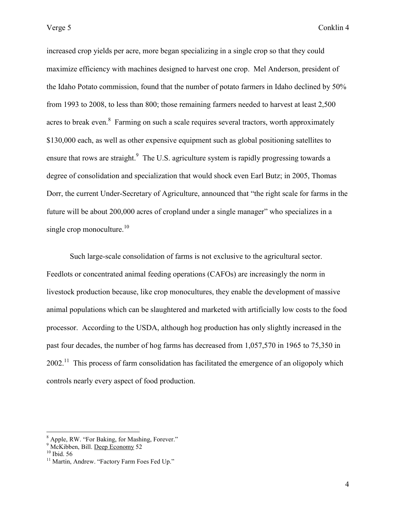increased crop yields per acre, more began specializing in a single crop so that they could maximize efficiency with machines designed to harvest one crop. Mel Anderson, president of the Idaho Potato commission, found that the number of potato farmers in Idaho declined by 50% from 1993 to 2008, to less than 800; those remaining farmers needed to harvest at least 2,500 acres to break even.<sup>8</sup> Farming on such a scale requires several tractors, worth approximately \$130,000 each, as well as other expensive equipment such as global positioning satellites to ensure that rows are straight.<sup>9</sup> The U.S. agriculture system is rapidly progressing towards a degree of consolidation and specialization that would shock even Earl Butz; in 2005, Thomas Dorr, the current Under-Secretary of Agriculture, announced that "the right scale for farms in the future will be about 200,000 acres of cropland under a single manager" who specializes in a single crop monoculture. $10$ 

 Such large-scale consolidation of farms is not exclusive to the agricultural sector. Feedlots or concentrated animal feeding operations (CAFOs) are increasingly the norm in livestock production because, like crop monocultures, they enable the development of massive animal populations which can be slaughtered and marketed with artificially low costs to the food processor. According to the USDA, although hog production has only slightly increased in the past four decades, the number of hog farms has decreased from 1,057,570 in 1965 to 75,350 in  $2002<sup>11</sup>$ . This process of farm consolidation has facilitated the emergence of an oligopoly which controls nearly every aspect of food production.

<sup>&</sup>lt;sup>8</sup> Apple, RW. "For Baking, for Mashing, Forever."<br><sup>9</sup> McKibben, Bill. <u>Deep Economy</u> 52

 $10$  Ibid. 56

<sup>&</sup>lt;sup>11</sup> Martin, Andrew. "Factory Farm Foes Fed Up."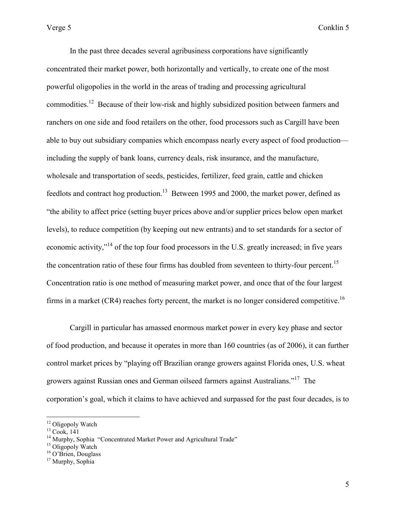In the past three decades several agribusiness corporations have significantly concentrated their market power, both horizontally and vertically, to create one of the most powerful oligopolies in the world in the areas of trading and processing agricultural commodities.<sup>12</sup> Because of their low-risk and highly subsidized position between farmers and ranchers on one side and food retailers on the other, food processors such as Cargill have been able to buy out subsidiary companies which encompass nearly every aspect of food production including the supply of bank loans, currency deals, risk insurance, and the manufacture, wholesale and transportation of seeds, pesticides, fertilizer, feed grain, cattle and chicken feedlots and contract hog production.<sup>13</sup> Between 1995 and 2000, the market power, defined as "the ability to affect price (setting buyer prices above and/or supplier prices below open market levels), to reduce competition (by keeping out new entrants) and to set standards for a sector of economic activity,"<sup>14</sup> of the top four food processors in the U.S. greatly increased; in five years the concentration ratio of these four firms has doubled from seventeen to thirty-four percent.<sup>15</sup> Concentration ratio is one method of measuring market power, and once that of the four largest firms in a market  $(CR4)$  reaches forty percent, the market is no longer considered competitive.<sup>16</sup>

 Cargill in particular has amassed enormous market power in every key phase and sector of food production, and because it operates in more than 160 countries (as of 2006), it can further control market prices by "playing off Brazilian orange growers against Florida ones, U.S. wheat growers against Russian ones and German oilseed farmers against Australians."<sup>17</sup> The corporation's goal, which it claims to have achieved and surpassed for the past four decades, is to

<sup>&</sup>lt;sup>12</sup> Oligopoly Watch

 $13 \text{ Cook}$ , 141

<sup>&</sup>lt;sup>14</sup> Murphy, Sophia "Concentrated Market Power and Agricultural Trade"

 $15$  Oligopoly Watch

<sup>&</sup>lt;sup>16</sup> O'Brien, Douglass

<sup>&</sup>lt;sup>17</sup> Murphy, Sophia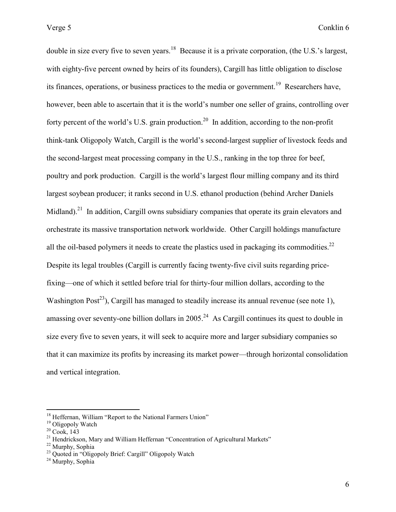double in size every five to seven years.<sup>18</sup> Because it is a private corporation, (the U.S.'s largest, with eighty-five percent owned by heirs of its founders), Cargill has little obligation to disclose its finances, operations, or business practices to the media or government.<sup>19</sup> Researchers have, however, been able to ascertain that it is the world's number one seller of grains, controlling over forty percent of the world's U.S. grain production.<sup>20</sup> In addition, according to the non-profit think-tank Oligopoly Watch, Cargill is the world's second-largest supplier of livestock feeds and the second-largest meat processing company in the U.S., ranking in the top three for beef, poultry and pork production. Cargill is the world's largest flour milling company and its third largest soybean producer; it ranks second in U.S. ethanol production (behind Archer Daniels Midland).<sup>21</sup> In addition, Cargill owns subsidiary companies that operate its grain elevators and orchestrate its massive transportation network worldwide. Other Cargill holdings manufacture all the oil-based polymers it needs to create the plastics used in packaging its commodities.<sup>22</sup> Despite its legal troubles (Cargill is currently facing twenty-five civil suits regarding pricefixing—one of which it settled before trial for thirty-four million dollars, according to the Washington Post<sup>23</sup>), Cargill has managed to steadily increase its annual revenue (see note 1), amassing over seventy-one billion dollars in  $2005<sup>24</sup>$  As Cargill continues its quest to double in size every five to seven years, it will seek to acquire more and larger subsidiary companies so that it can maximize its profits by increasing its market power—through horizontal consolidation and vertical integration.

<sup>&</sup>lt;sup>18</sup> Heffernan, William "Report to the National Farmers Union"

<sup>&</sup>lt;sup>19</sup> Oligopoly Watch

 $20 \text{ Cook}$ , 143

 $21$  Hendrickson, Mary and William Heffernan "Concentration of Agricultural Markets"

<sup>22</sup> Murphy, Sophia

<sup>&</sup>lt;sup>23</sup> Quoted in "Oligopoly Brief: Cargill" Oligopoly Watch

<sup>&</sup>lt;sup>24</sup> Murphy, Sophia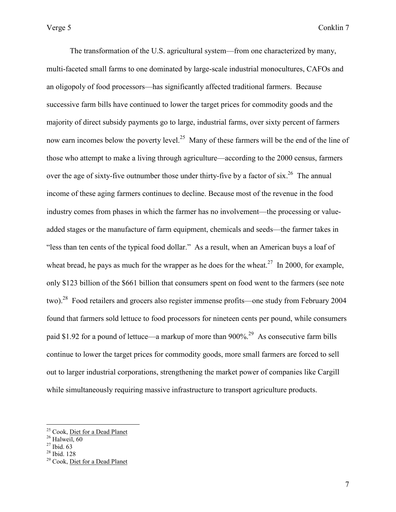The transformation of the U.S. agricultural system—from one characterized by many, multi-faceted small farms to one dominated by large-scale industrial monocultures, CAFOs and an oligopoly of food processors—has significantly affected traditional farmers. Because successive farm bills have continued to lower the target prices for commodity goods and the majority of direct subsidy payments go to large, industrial farms, over sixty percent of farmers now earn incomes below the poverty level.<sup>25</sup> Many of these farmers will be the end of the line of those who attempt to make a living through agriculture—according to the 2000 census, farmers over the age of sixty-five outnumber those under thirty-five by a factor of six.<sup>26</sup> The annual income of these aging farmers continues to decline. Because most of the revenue in the food industry comes from phases in which the farmer has no involvement—the processing or valueadded stages or the manufacture of farm equipment, chemicals and seeds—the farmer takes in "less than ten cents of the typical food dollar." As a result, when an American buys a loaf of wheat bread, he pays as much for the wrapper as he does for the wheat.<sup>27</sup> In 2000, for example, only \$123 billion of the \$661 billion that consumers spent on food went to the farmers (see note two).<sup>28</sup> Food retailers and grocers also register immense profits—one study from February 2004 found that farmers sold lettuce to food processors for nineteen cents per pound, while consumers paid \$1.92 for a pound of lettuce—a markup of more than 900%.<sup>29</sup> As consecutive farm bills continue to lower the target prices for commodity goods, more small farmers are forced to sell out to larger industrial corporations, strengthening the market power of companies like Cargill while simultaneously requiring massive infrastructure to transport agriculture products.

<sup>&</sup>lt;sup>25</sup> Cook, Diet for a Dead Planet

<sup>&</sup>lt;sup>26</sup> Halweil, 60

 $27$  Ibid. 63

 $28$  Ibid. 128

<sup>&</sup>lt;sup>29</sup> Cook, Diet <u>for a Dead Planet</u>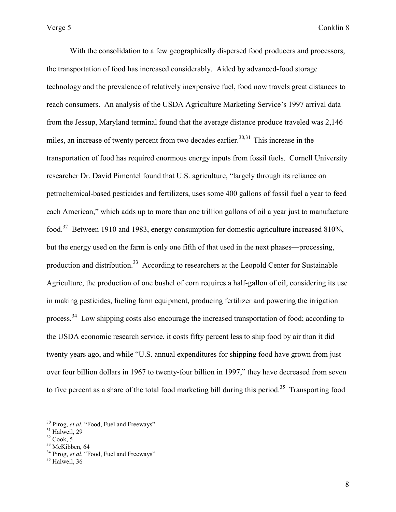With the consolidation to a few geographically dispersed food producers and processors, the transportation of food has increased considerably. Aided by advanced-food storage technology and the prevalence of relatively inexpensive fuel, food now travels great distances to reach consumers. An analysis of the USDA Agriculture Marketing Service's 1997 arrival data from the Jessup, Maryland terminal found that the average distance produce traveled was 2,146 miles, an increase of twenty percent from two decades earlier. $30,31$  This increase in the transportation of food has required enormous energy inputs from fossil fuels. Cornell University researcher Dr. David Pimentel found that U.S. agriculture, "largely through its reliance on petrochemical-based pesticides and fertilizers, uses some 400 gallons of fossil fuel a year to feed each American," which adds up to more than one trillion gallons of oil a year just to manufacture food.<sup>32</sup> Between 1910 and 1983, energy consumption for domestic agriculture increased 810%, but the energy used on the farm is only one fifth of that used in the next phases—processing, production and distribution.<sup>33</sup> According to researchers at the Leopold Center for Sustainable Agriculture, the production of one bushel of corn requires a half-gallon of oil, considering its use in making pesticides, fueling farm equipment, producing fertilizer and powering the irrigation process.<sup>34</sup> Low shipping costs also encourage the increased transportation of food; according to the USDA economic research service, it costs fifty percent less to ship food by air than it did twenty years ago, and while "U.S. annual expenditures for shipping food have grown from just over four billion dollars in 1967 to twenty-four billion in 1997," they have decreased from seven to five percent as a share of the total food marketing bill during this period.<sup>35</sup> Transporting food

<sup>30</sup> Pirog, *et al*. "Food, Fuel and Freeways"

 $31$  Halweil, 29

 $32 \text{ Cook}, 5$ 

<sup>&</sup>lt;sup>33</sup> McKibben, 64

<sup>&</sup>lt;sup>34</sup> Pirog, *et al.* "Food, Fuel and Freeways"

<sup>&</sup>lt;sup>35</sup> Halweil, 36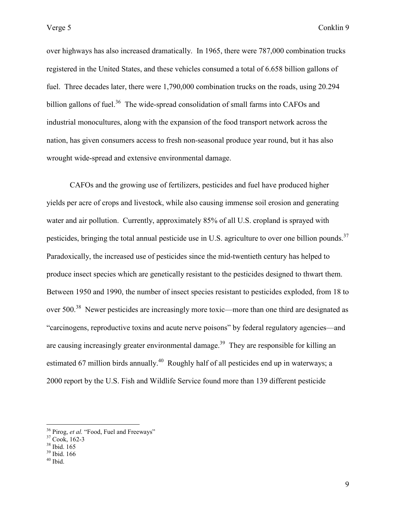over highways has also increased dramatically. In 1965, there were 787,000 combination trucks registered in the United States, and these vehicles consumed a total of 6.658 billion gallons of fuel. Three decades later, there were 1,790,000 combination trucks on the roads, using 20.294 billion gallons of fuel.<sup>36</sup> The wide-spread consolidation of small farms into CAFOs and industrial monocultures, along with the expansion of the food transport network across the nation, has given consumers access to fresh non-seasonal produce year round, but it has also wrought wide-spread and extensive environmental damage.

 CAFOs and the growing use of fertilizers, pesticides and fuel have produced higher yields per acre of crops and livestock, while also causing immense soil erosion and generating water and air pollution. Currently, approximately 85% of all U.S. cropland is sprayed with pesticides, bringing the total annual pesticide use in U.S. agriculture to over one billion pounds.<sup>37</sup> Paradoxically, the increased use of pesticides since the mid-twentieth century has helped to produce insect species which are genetically resistant to the pesticides designed to thwart them. Between 1950 and 1990, the number of insect species resistant to pesticides exploded, from 18 to over 500.<sup>38</sup> Newer pesticides are increasingly more toxic—more than one third are designated as "carcinogens, reproductive toxins and acute nerve poisons" by federal regulatory agencies—and are causing increasingly greater environmental damage.<sup>39</sup> They are responsible for killing an estimated 67 million birds annually.<sup>40</sup> Roughly half of all pesticides end up in waterways; a 2000 report by the U.S. Fish and Wildlife Service found more than 139 different pesticide

<sup>&</sup>lt;sup>36</sup> Pirog, *et al.* "Food, Fuel and Freeways"

<sup>37</sup> Cook, 162-3

<sup>38</sup> Ibid. 165

<sup>39</sup> Ibid. 166

 $40$  Ibid.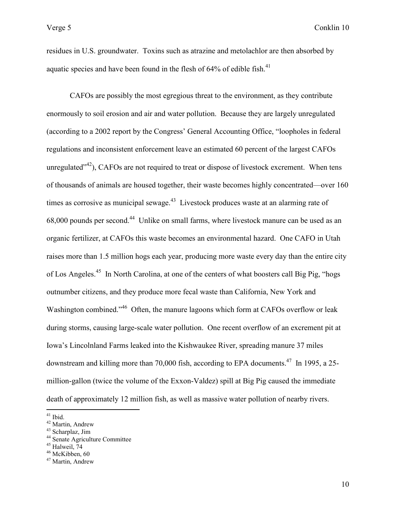residues in U.S. groundwater. Toxins such as atrazine and metolachlor are then absorbed by aquatic species and have been found in the flesh of  $64\%$  of edible fish.<sup>41</sup>

 CAFOs are possibly the most egregious threat to the environment, as they contribute enormously to soil erosion and air and water pollution. Because they are largely unregulated (according to a 2002 report by the Congress' General Accounting Office, "loopholes in federal regulations and inconsistent enforcement leave an estimated 60 percent of the largest CAFOs unregulated $1^{42}$ ), CAFOs are not required to treat or dispose of livestock excrement. When tens of thousands of animals are housed together, their waste becomes highly concentrated—over 160 times as corrosive as municipal sewage.<sup>43</sup> Livestock produces waste at an alarming rate of 68,000 pounds per second.<sup>44</sup> Unlike on small farms, where livestock manure can be used as an organic fertilizer, at CAFOs this waste becomes an environmental hazard. One CAFO in Utah raises more than 1.5 million hogs each year, producing more waste every day than the entire city of Los Angeles.<sup>45</sup> In North Carolina, at one of the centers of what boosters call Big Pig, "hogs outnumber citizens, and they produce more fecal waste than California, New York and Washington combined."<sup>46</sup> Often, the manure lagoons which form at CAFOs overflow or leak during storms, causing large-scale water pollution. One recent overflow of an excrement pit at Iowa's Lincolnland Farms leaked into the Kishwaukee River, spreading manure 37 miles downstream and killing more than 70,000 fish, according to EPA documents.<sup>47</sup> In 1995, a 25million-gallon (twice the volume of the Exxon-Valdez) spill at Big Pig caused the immediate death of approximately 12 million fish, as well as massive water pollution of nearby rivers.

 $41$  Ibid.

<sup>42</sup> Martin, Andrew

<sup>43</sup> Scharplaz, Jim

<sup>44</sup> Senate Agriculture Committee

 $45$  Halweil,  $74$ 

<sup>&</sup>lt;sup>46</sup> McKibben, 60

<sup>47</sup> Martin, Andrew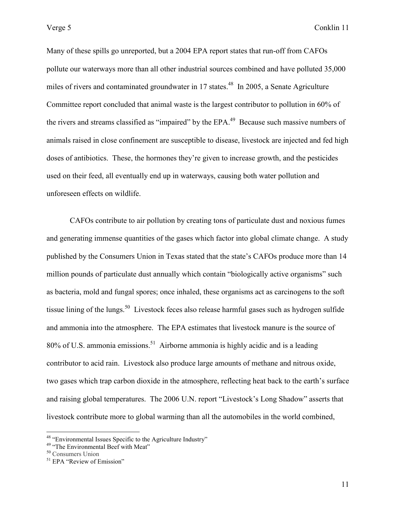Many of these spills go unreported, but a 2004 EPA report states that run-off from CAFOs pollute our waterways more than all other industrial sources combined and have polluted 35,000 miles of rivers and contaminated groundwater in 17 states.<sup>48</sup> In 2005, a Senate Agriculture Committee report concluded that animal waste is the largest contributor to pollution in 60% of the rivers and streams classified as "impaired" by the  $EPA<sup>49</sup>$  Because such massive numbers of animals raised in close confinement are susceptible to disease, livestock are injected and fed high doses of antibiotics. These, the hormones they're given to increase growth, and the pesticides used on their feed, all eventually end up in waterways, causing both water pollution and unforeseen effects on wildlife.

 CAFOs contribute to air pollution by creating tons of particulate dust and noxious fumes and generating immense quantities of the gases which factor into global climate change. A study published by the Consumers Union in Texas stated that the state's CAFOs produce more than 14 million pounds of particulate dust annually which contain "biologically active organisms" such as bacteria, mold and fungal spores; once inhaled, these organisms act as carcinogens to the soft tissue lining of the lungs.<sup>50</sup> Livestock feces also release harmful gases such as hydrogen sulfide and ammonia into the atmosphere. The EPA estimates that livestock manure is the source of 80% of U.S. ammonia emissions.<sup>51</sup> Airborne ammonia is highly acidic and is a leading contributor to acid rain. Livestock also produce large amounts of methane and nitrous oxide, two gases which trap carbon dioxide in the atmosphere, reflecting heat back to the earth's surface and raising global temperatures. The 2006 U.N. report "Livestock's Long Shadow" asserts that livestock contribute more to global warming than all the automobiles in the world combined,

<sup>&</sup>lt;sup>48</sup> "Environmental Issues Specific to the Agriculture Industry"

<sup>&</sup>lt;sup>49</sup> "The Environmental Beef with Meat"

<sup>50</sup> Consumers Union

<sup>&</sup>lt;sup>51</sup> EPA "Review of Emission"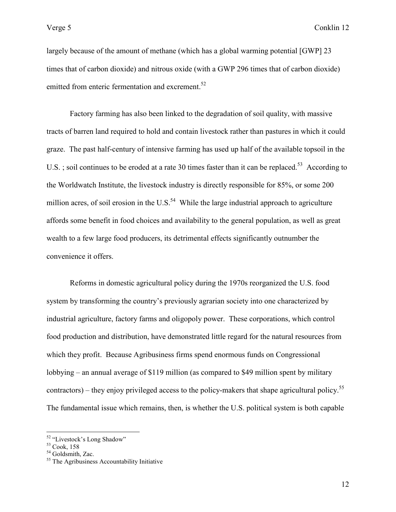largely because of the amount of methane (which has a global warming potential [GWP] 23 times that of carbon dioxide) and nitrous oxide (with a GWP 296 times that of carbon dioxide) emitted from enteric fermentation and excrement.<sup>52</sup>

 Factory farming has also been linked to the degradation of soil quality, with massive tracts of barren land required to hold and contain livestock rather than pastures in which it could graze. The past half-century of intensive farming has used up half of the available topsoil in the U.S. ; soil continues to be eroded at a rate 30 times faster than it can be replaced.<sup>53</sup> According to the Worldwatch Institute, the livestock industry is directly responsible for 85%, or some 200 million acres, of soil erosion in the U.S. $^{54}$  While the large industrial approach to agriculture affords some benefit in food choices and availability to the general population, as well as great wealth to a few large food producers, its detrimental effects significantly outnumber the convenience it offers.

 Reforms in domestic agricultural policy during the 1970s reorganized the U.S. food system by transforming the country's previously agrarian society into one characterized by industrial agriculture, factory farms and oligopoly power. These corporations, which control food production and distribution, have demonstrated little regard for the natural resources from which they profit. Because Agribusiness firms spend enormous funds on Congressional lobbying – an annual average of \$119 million (as compared to \$49 million spent by military contractors) – they enjoy privileged access to the policy-makers that shape agricultural policy.<sup>55</sup> The fundamental issue which remains, then, is whether the U.S. political system is both capable

<sup>52</sup> "Livestock's Long Shadow"

<sup>53</sup> Cook, 158

<sup>&</sup>lt;sup>54</sup> Goldsmith, Zac.

<sup>&</sup>lt;sup>55</sup> The Agribusiness Accountability Initiative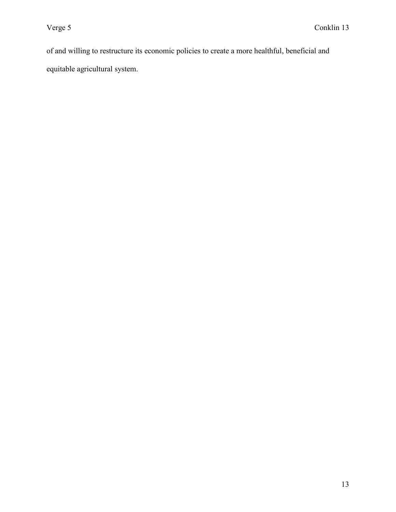of and willing to restructure its economic policies to create a more healthful, beneficial and equitable agricultural system.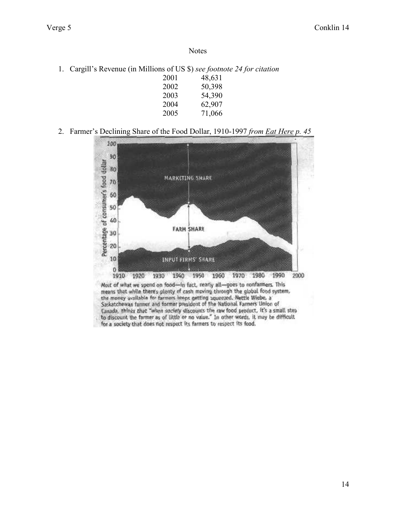1. Cargill's Revenue (in Millions of US \$) *see footnote 24 for citation* 

| 2001 | 48,631 |
|------|--------|
| 2002 | 50,398 |
| 2003 | 54,390 |
| 2004 | 62,907 |
| 2005 | 71,066 |

## 2. Farmer's Declining Share of the Food Dollar, 1910-1997 *from Eat Here p. 45*



for a society that does not respect its farmers to respect its food.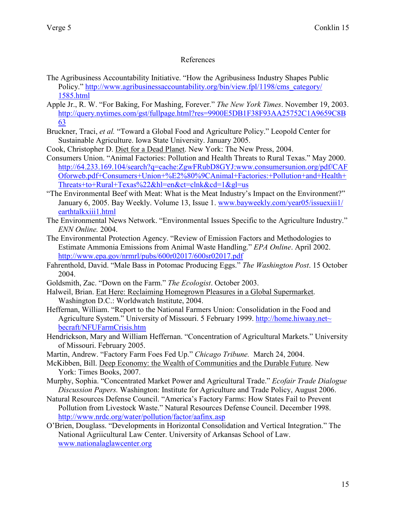## References

- The Agribusiness Accountability Initiative. "How the Agribusiness Industry Shapes Public Policy." [http://www.agribusinessaccountability.org/bin/view.fpl/1198/cms\\_category/](http://www.agribusinessaccountability.org/bin/view.fpl/1198/cms_category/%201585.html) [1585.html](http://www.agribusinessaccountability.org/bin/view.fpl/1198/cms_category/%201585.html)
- Apple Jr., R. W. "For Baking, For Mashing, Forever." *The New York Times*. November 19, 2003. [http://query.nytimes.com/gst/fullpage.html?res=9900E5DB1F38F93AA25752C1A9659C8](http://query.nytimes.com/gst/fullpage.html?res=9900E5DB1F38F93AA25752C1A9659C8B63)B [63](http://query.nytimes.com/gst/fullpage.html?res=9900E5DB1F38F93AA25752C1A9659C8B63)
- Bruckner, Traci, *et al.* "Toward a Global Food and Agriculture Policy." Leopold Center for Sustainable Agriculture. Iowa State University. January 2005.
- Cook, Christopher D. Diet for a Dead Planet. New York: The New Press, 2004.
- Consumers Union. "Animal Factories: Pollution and Health Threats to Rural Texas." May 2000. [http://64.233.169.104/search?q=cache:ZgwFRubD8GYJ:www.consumersunion.org/pdf/CA](http://64.233.169.104/search?q=cache:ZgwFRubD8GYJ:www.consumersunion.org/pdf/CAFOforweb.pdf+Consumers+Union+%E2%80%9CAnimal+Factories:+Pollution+and+Health+Threats+to+Rural+Texas%22&hl=en&ct=clnk&cd=1&gl=us)F [Oforweb.pdf+Consumers+Union+%E2%80%9CAnimal+Factories:+Pollution+and+Health](http://64.233.169.104/search?q=cache:ZgwFRubD8GYJ:www.consumersunion.org/pdf/CAFOforweb.pdf+Consumers+Union+%E2%80%9CAnimal+Factories:+Pollution+and+Health+Threats+to+Rural+Texas%22&hl=en&ct=clnk&cd=1&gl=us)+ [Threats+to+Rural+Texas%22&hl=en&ct=clnk&cd=1&gl=us](http://64.233.169.104/search?q=cache:ZgwFRubD8GYJ:www.consumersunion.org/pdf/CAFOforweb.pdf+Consumers+Union+%E2%80%9CAnimal+Factories:+Pollution+and+Health+Threats+to+Rural+Texas%22&hl=en&ct=clnk&cd=1&gl=us)
- "The Environmental Beef with Meat: What is the Meat Industry's Impact on the Environment?" January 6, 2005. Bay Weekly. Volume 13, Issue 1. [www.bayweekly.com/year05/issuexiii1/](http://www.bayweekly.com/year05/issuexiii1/%20earthtalkxiii1.html) [earthtalkxiii1.html](http://www.bayweekly.com/year05/issuexiii1/%20earthtalkxiii1.html)
- The Environmental News Network. "Environmental Issues Specific to the Agriculture Industry." *ENN Online.* 2004.
- The Environmental Protection Agency. "Review of Emission Factors and Methodologies to Estimate Ammonia Emissions from Animal Waste Handling." *EPA Online*. April 2002. <http://www.epa.gov/nrmrl/pubs/600r02017/600sr02017.pdf>
- Fahrenthold, David. "Male Bass in Potomac Producing Eggs." *The Washington Post*. 15 October 2004.
- Goldsmith, Zac. "Down on the Farm." *The Ecologist*. October 2003.
- Halweil, Brian. Eat Here: Reclaiming Homegrown Pleasures in a Global Supermarket. Washington D.C.: Worldwatch Institute, 2004.
- Heffernan, William. "Report to the National Farmers Union: Consolidation in the Food and Agriculture System." University of Missouri. 5 February 1999. [http://home.hiwaay.net~](http://home.hiwaay.net~becraft/NFUFarmCrisis.htm) [becraft/NFUFarmCrisis.htm](http://home.hiwaay.net~becraft/NFUFarmCrisis.htm)
- Hendrickson, Mary and William Heffernan. "Concentration of Agricultural Markets." University of Missouri. February 2005.
- Martin, Andrew. "Factory Farm Foes Fed Up." *Chicago Tribune.* March 24, 2004.
- McKibben, Bill. Deep Economy: the Wealth of Communities and the Durable Future. New York: Times Books, 2007.
- Murphy, Sophia. "Concentrated Market Power and Agricultural Trade." *Ecofair Trade Dialogue Discussion Papers.* Washington: Institute for Agriculture and Trade Policy, August 2006.
- Natural Resources Defense Council. "America's Factory Farms: How States Fail to Prevent Pollution from Livestock Waste." Natural Resources Defense Council. December 1998. <http://www.nrdc.org/water/pollution/factor/aafinx.asp>
- O'Brien, Douglass. "Developments in Horizontal Consolidation and Vertical Integration." The National Agriicultural Law Center. University of Arkansas School of Law. [www.nationalaglawcenter.org](http://www.nationalaglawcenter.org/)